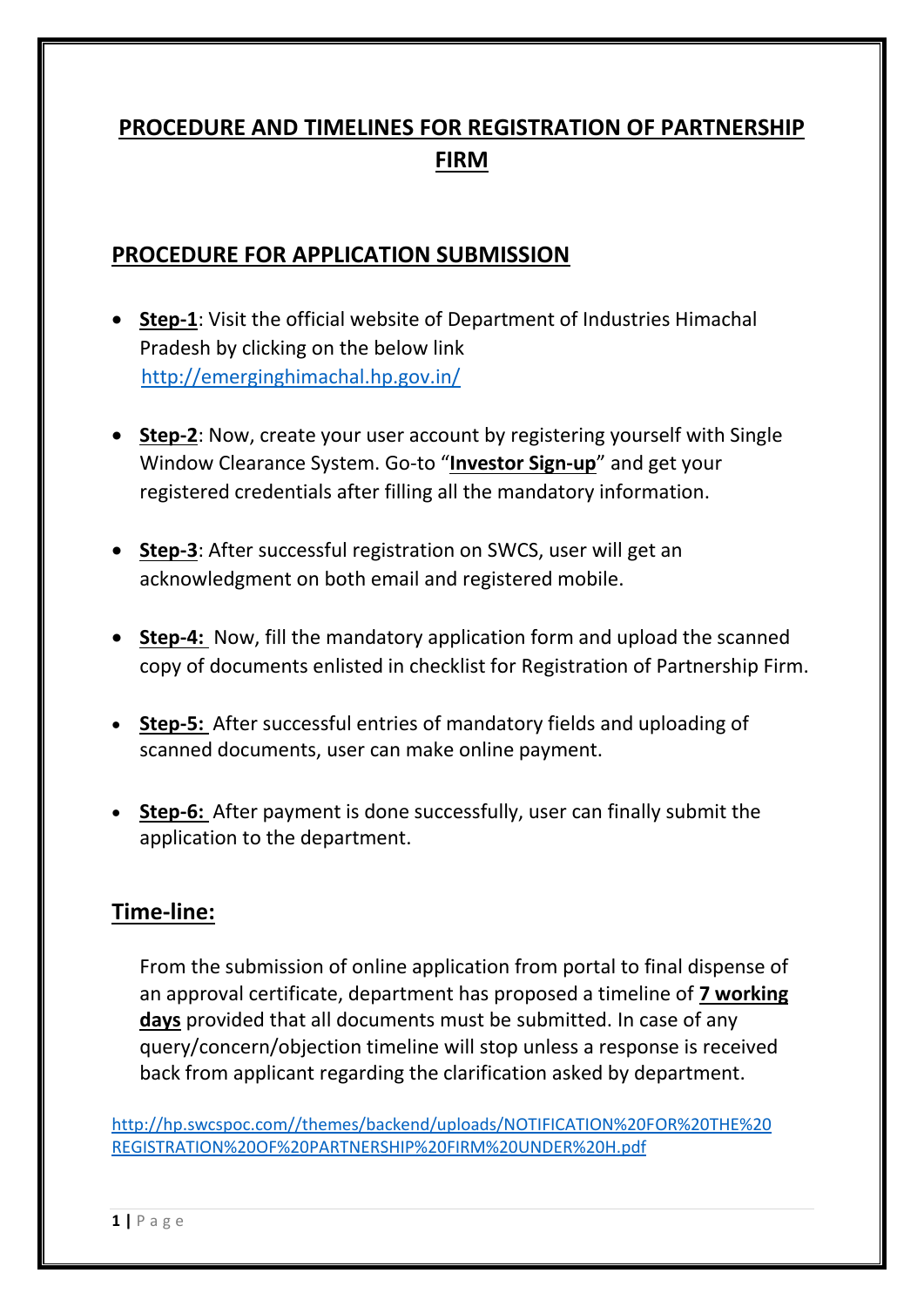## **PROCEDURE AND TIMELINES FOR REGISTRATION OF PARTNERSHIP FIRM**

## **PROCEDURE FOR APPLICATION SUBMISSION**

- **Step-1**: Visit the official website of Department of Industries Himachal Pradesh by clicking on the below link <http://emerginghimachal.hp.gov.in/>
- **Step-2**: Now, create your user account by registering yourself with Single Window Clearance System. Go-to "**Investor Sign-up**" and get your registered credentials after filling all the mandatory information.
- **Step-3**: After successful registration on SWCS, user will get an acknowledgment on both email and registered mobile.
- **Step-4:** Now, fill the mandatory application form and upload the scanned copy of documents enlisted in checklist for Registration of Partnership Firm.
- **Step-5:** After successful entries of mandatory fields and uploading of scanned documents, user can make online payment.
- **Step-6:** After payment is done successfully, user can finally submit the application to the department.

## **Time-line:**

From the submission of online application from portal to final dispense of an approval certificate, department has proposed a timeline of **7 working days** provided that all documents must be submitted. In case of any query/concern/objection timeline will stop unless a response is received back from applicant regarding the clarification asked by department.

[http://hp.swcspoc.com//themes/backend/uploads/NOTIFICATION%20FOR%20THE%20](http://hp.swcspoc.com/themes/backend/uploads/NOTIFICATION%20FOR%20THE%20REGISTRATION%20OF%20PARTNERSHIP%20FIRM%20UNDER%20H.pdf) [REGISTRATION%20OF%20PARTNERSHIP%20FIRM%20UNDER%20H.pdf](http://hp.swcspoc.com/themes/backend/uploads/NOTIFICATION%20FOR%20THE%20REGISTRATION%20OF%20PARTNERSHIP%20FIRM%20UNDER%20H.pdf)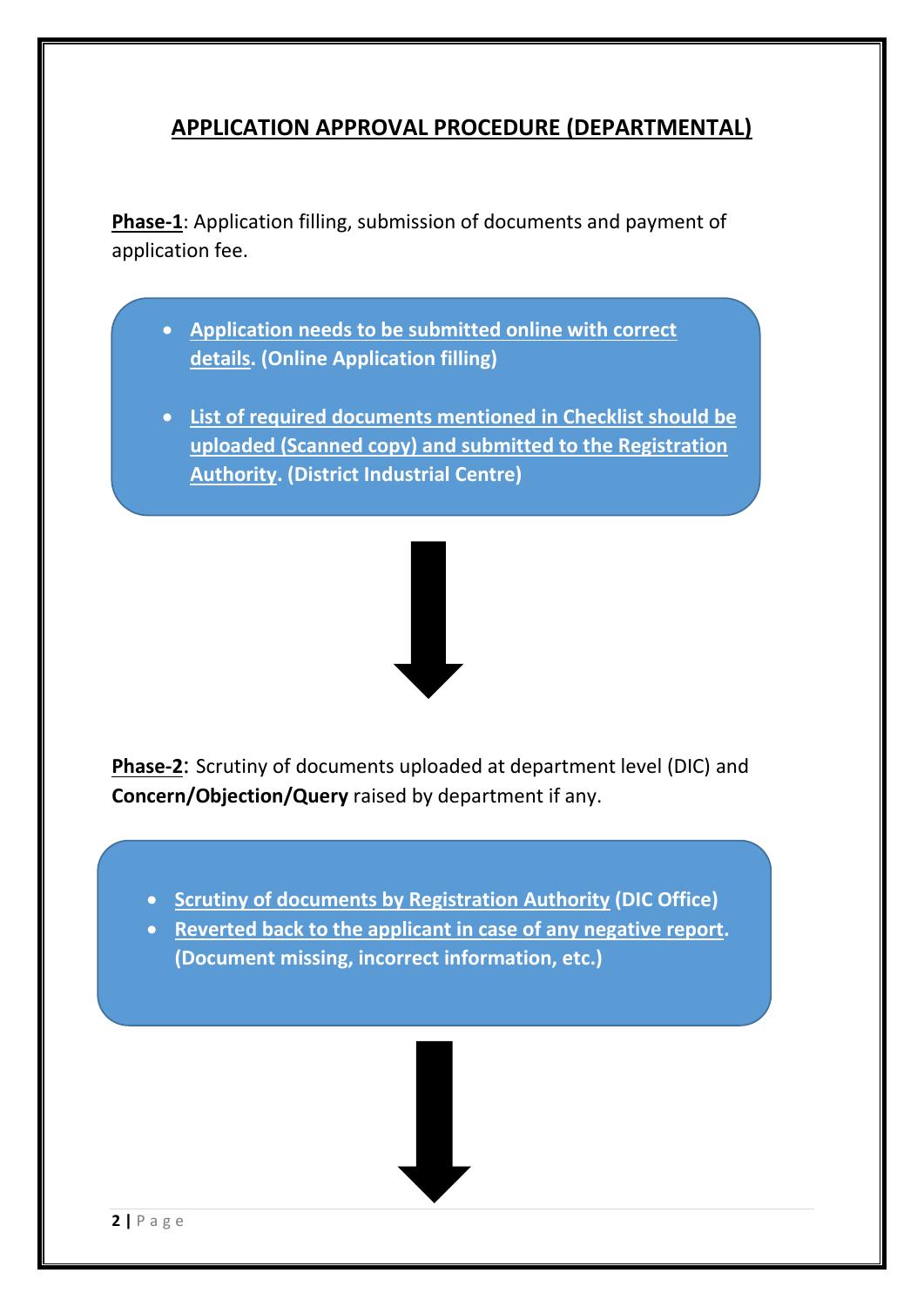## **APPLICATION APPROVAL PROCEDURE (DEPARTMENTAL)**

**Phase-1**: Application filling, submission of documents and payment of application fee.

- **Application needs to be submitted online with correct details. (Online Application filling)**
- **List of required documents mentioned in Checklist should be uploaded (Scanned copy) and submitted to the Registration Authority. (District Industrial Centre)**



**Phase-2**: Scrutiny of documents uploaded at department level (DIC) and **Concern/Objection/Query** raised by department if any.

- **Scrutiny of documents by Registration Authority (DIC Office)**
- **Reverted back to the applicant in case of any negative report. (Document missing, incorrect information, etc.)**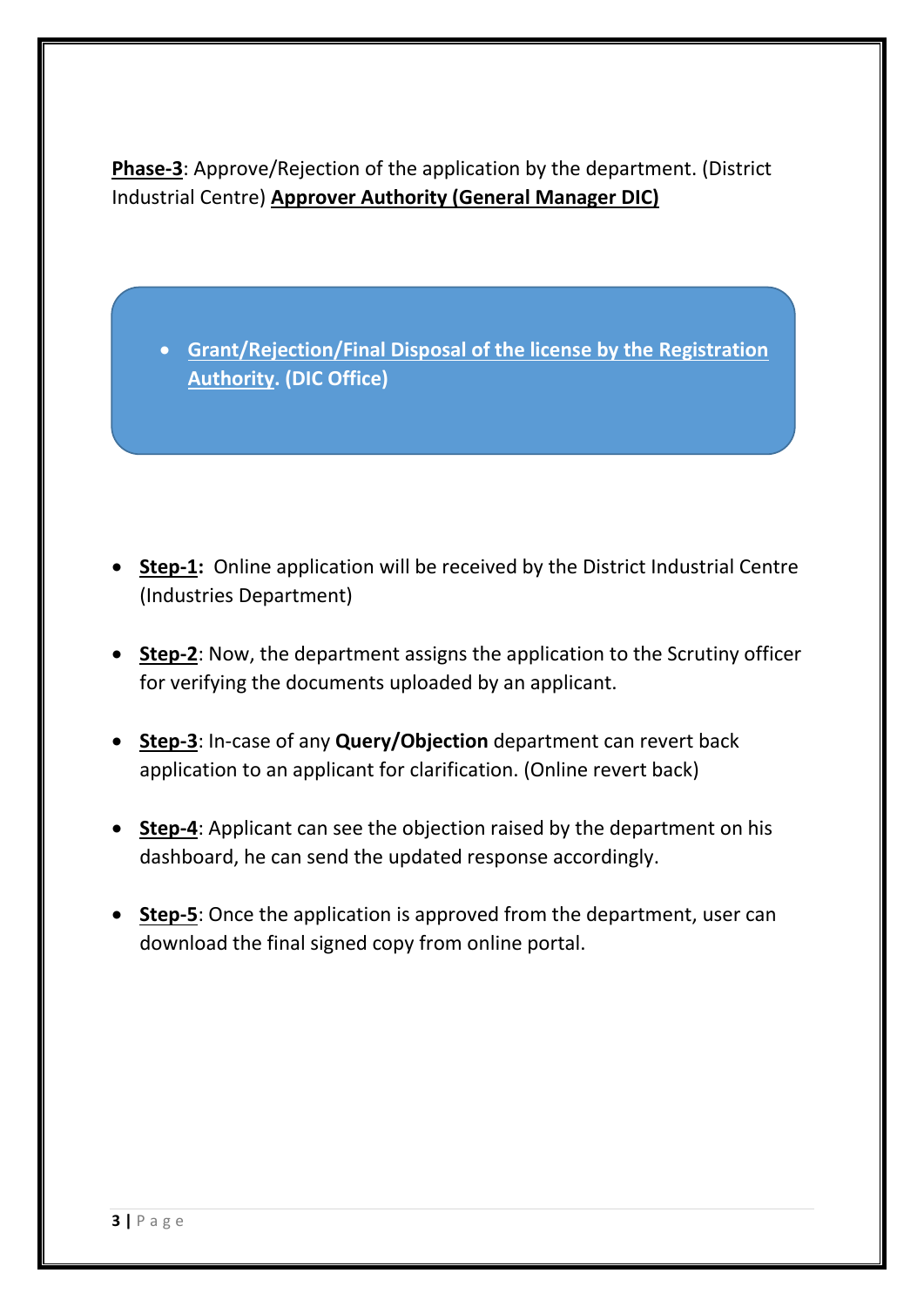**Phase-3**: Approve/Rejection of the application by the department. (District Industrial Centre) **Approver Authority (General Manager DIC)**

 **Grant/Rejection/Final Disposal of the license by the Registration Authority. (DIC Office)** 

- **Step-1:** Online application will be received by the District Industrial Centre (Industries Department)
- **Step-2**: Now, the department assigns the application to the Scrutiny officer for verifying the documents uploaded by an applicant.
- **Step-3**: In-case of any **Query/Objection** department can revert back application to an applicant for clarification. (Online revert back)
- **Step-4**: Applicant can see the objection raised by the department on his dashboard, he can send the updated response accordingly.
- **Step-5**: Once the application is approved from the department, user can download the final signed copy from online portal.